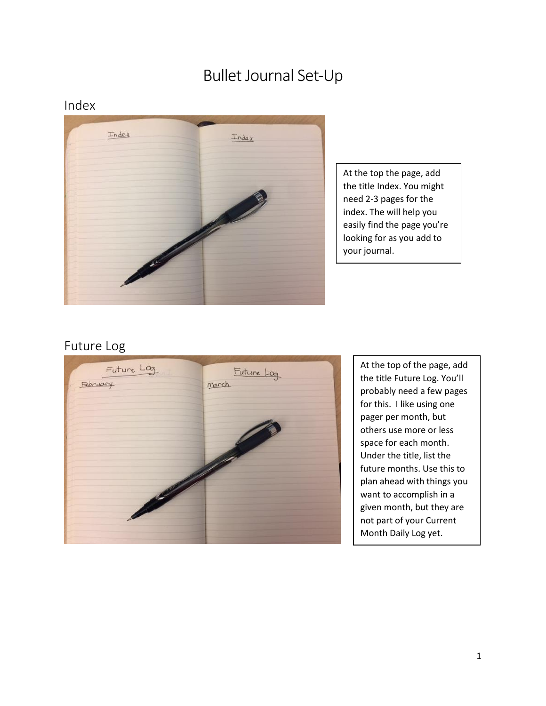# Bullet Journal Set-Up

#### Index



At the top the page, add the title Index. You might need 2-3 pages for the index. The will help you easily find the page you're looking for as you add to your journal.

#### Future Log



At the top of the page, add the title Future Log. You'll probably need a few pages for this. I like using one pager per month, but others use more or less space for each month. Under the title, list the future months. Use this to plan ahead with things you want to accomplish in a given month, but they are not part of your Current Month Daily Log yet.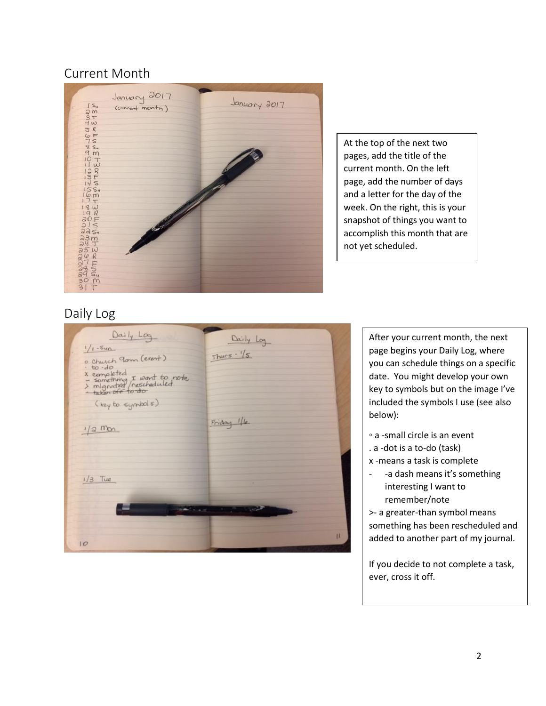## Current Month



At the top of the next two pages, add the title of the current month. On the left page, add the number of days and a letter for the day of the week. On the right, this is your snapshot of things you want to accomplish this month that are not yet scheduled.

### Daily Log

| Daily Log<br>$1/1-Sun$<br>o Church Jam (event)<br>$to -do$<br>x completed<br>> something I want to note<br>> migrated (rescheduled<br>+ taken off to do<br>(key to symbols)<br>$1/2$ Mon | Daily Log<br>$Thus - 1/s$<br>Friday 1/6 |
|------------------------------------------------------------------------------------------------------------------------------------------------------------------------------------------|-----------------------------------------|
| $1/3$ Tue                                                                                                                                                                                |                                         |
| 10                                                                                                                                                                                       | the state of the control of the state   |

After your current month, the next page begins your Daily Log, where you can schedule things on a specific date. You might develop your own key to symbols but on the image I've included the symbols I use (see also below):

- a -small circle is an event
- . a -dot is a to-do (task)
- x -means a task is complete
- -a dash means it's something interesting I want to remember/note

>- a greater-than symbol means something has been rescheduled and added to another part of my journal.

If you decide to not complete a task, ever, cross it off.